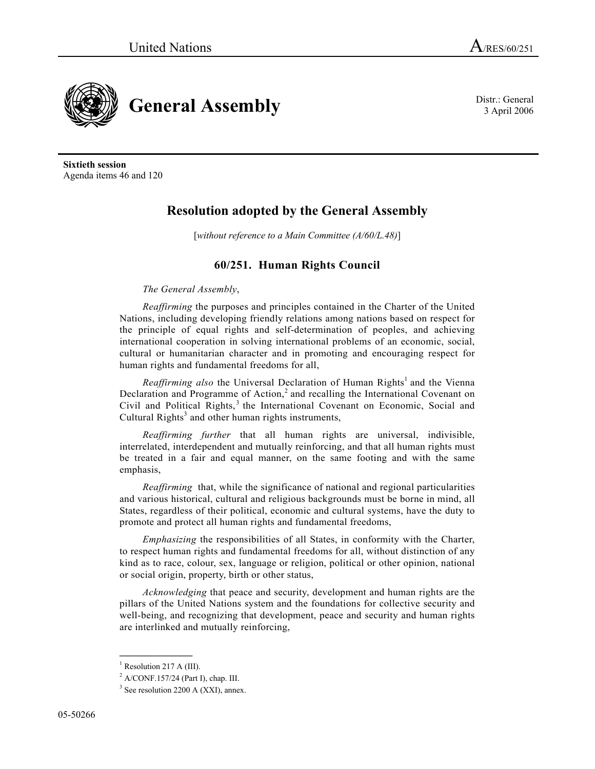3 April 2006



**Sixtieth session**  Agenda items 46 and 120

## **Resolution adopted by the General Assembly**

[*without reference to a Main Committee (A/60/L.48)*]

## **60/251. Human Rights Council**

*The General Assembly*,

*Reaffirming* the purposes and principles contained in the Charter of the United Nations, including developing friendly relations among nations based on respect for the principle of equal rights and self-determination of peoples, and achieving international cooperation in solving international problems of an economic, social, cultural or humanitarian character and in promoting and encouraging respect for human rights and fundamental freedoms for all,

Reaffirming also the Universal Declaration of Human Rights<sup>1</sup> and the Vienna Declaration and Programme of Action,<sup>2</sup> and recalling the International Covenant on Civil and Political Rights,<sup>3</sup> the International Covenant on Economic, Social and Cultural Rights<sup>3</sup> and other human rights instruments,

*Reaffirming further* that all human rights are universal, indivisible, interrelated, interdependent and mutually reinforcing, and that all human rights must be treated in a fair and equal manner, on the same footing and with the same emphasis,

*Reaffirming* that, while the significance of national and regional particularities and various historical, cultural and religious backgrounds must be borne in mind, all States, regardless of their political, economic and cultural systems, have the duty to promote and protect all human rights and fundamental freedoms,

*Emphasizing* the responsibilities of all States, in conformity with the Charter, to respect human rights and fundamental freedoms for all, without distinction of any kind as to race, colour, sex, language or religion, political or other opinion, national or social origin, property, birth or other status,

*Acknowledging* that peace and security, development and human rights are the pillars of the United Nations system and the foundations for collective security and well-being, and recognizing that development, peace and security and human rights are interlinked and mutually reinforcing,

 $<sup>1</sup>$  Resolution 217 A (III).</sup>

<sup>2</sup> A/CONF.157/24 (Part I), chap. III.

<sup>&</sup>lt;sup>3</sup> See resolution 2200 A (XXI), annex.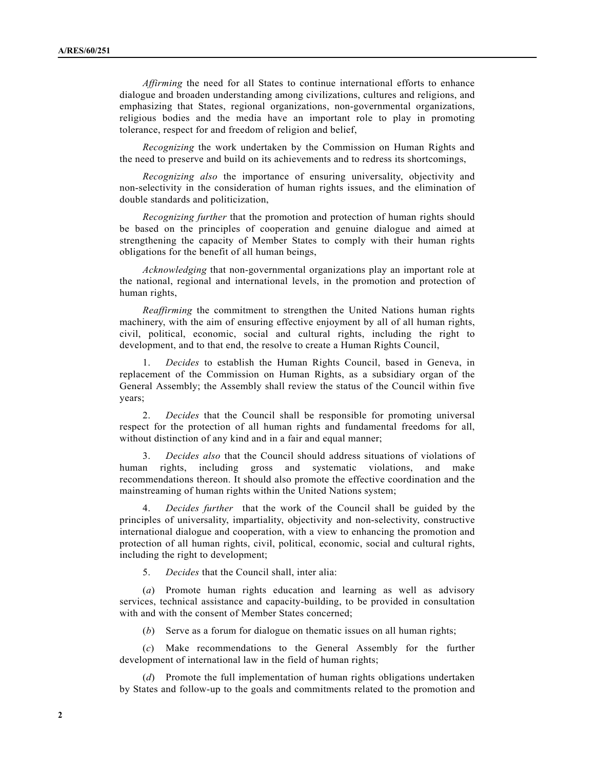*Affirming* the need for all States to continue international efforts to enhance dialogue and broaden understanding among civilizations, cultures and religions, and emphasizing that States, regional organizations, non-governmental organizations, religious bodies and the media have an important role to play in promoting tolerance, respect for and freedom of religion and belief,

*Recognizing* the work undertaken by the Commission on Human Rights and the need to preserve and build on its achievements and to redress its shortcomings,

*Recognizing also* the importance of ensuring universality, objectivity and non-selectivity in the consideration of human rights issues, and the elimination of double standards and politicization,

*Recognizing further* that the promotion and protection of human rights should be based on the principles of cooperation and genuine dialogue and aimed at strengthening the capacity of Member States to comply with their human rights obligations for the benefit of all human beings,

*Acknowledging* that non-governmental organizations play an important role at the national, regional and international levels, in the promotion and protection of human rights,

*Reaffirming* the commitment to strengthen the United Nations human rights machinery, with the aim of ensuring effective enjoyment by all of all human rights, civil, political, economic, social and cultural rights, including the right to development, and to that end, the resolve to create a Human Rights Council,

 1. *Decides* to establish the Human Rights Council, based in Geneva, in replacement of the Commission on Human Rights, as a subsidiary organ of the General Assembly; the Assembly shall review the status of the Council within five years;

 2. *Decides* that the Council shall be responsible for promoting universal respect for the protection of all human rights and fundamental freedoms for all, without distinction of any kind and in a fair and equal manner;

 3. *Decides also* that the Council should address situations of violations of human rights, including gross and systematic violations, and make recommendations thereon. It should also promote the effective coordination and the mainstreaming of human rights within the United Nations system;

 4. *Decides further* that the work of the Council shall be guided by the principles of universality, impartiality, objectivity and non-selectivity, constructive international dialogue and cooperation, with a view to enhancing the promotion and protection of all human rights, civil, political, economic, social and cultural rights, including the right to development;

5. *Decides* that the Council shall, inter alia:

 (*a*) Promote human rights education and learning as well as advisory services, technical assistance and capacity-building, to be provided in consultation with and with the consent of Member States concerned;

(*b*) Serve as a forum for dialogue on thematic issues on all human rights;

 (*c*) Make recommendations to the General Assembly for the further development of international law in the field of human rights;

 (*d*) Promote the full implementation of human rights obligations undertaken by States and follow-up to the goals and commitments related to the promotion and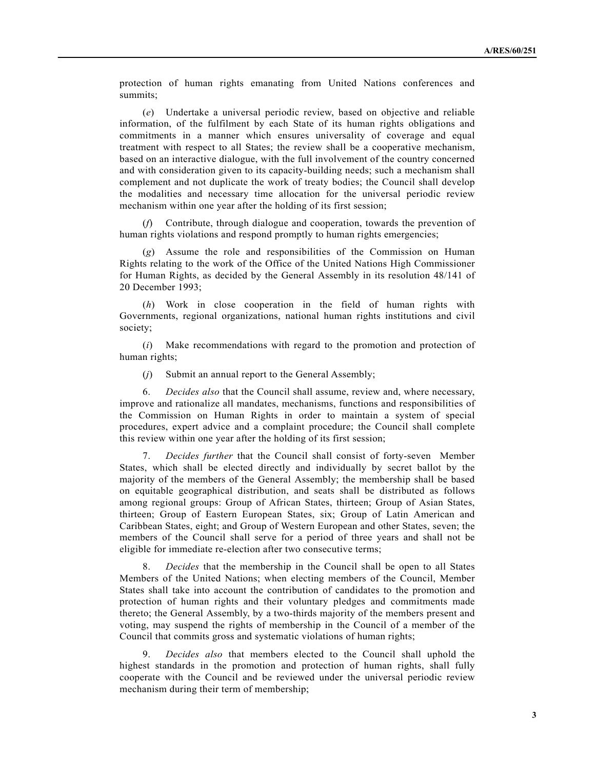protection of human rights emanating from United Nations conferences and summits;

 (*e*) Undertake a universal periodic review, based on objective and reliable information, of the fulfilment by each State of its human rights obligations and commitments in a manner which ensures universality of coverage and equal treatment with respect to all States; the review shall be a cooperative mechanism, based on an interactive dialogue, with the full involvement of the country concerned and with consideration given to its capacity-building needs; such a mechanism shall complement and not duplicate the work of treaty bodies; the Council shall develop the modalities and necessary time allocation for the universal periodic review mechanism within one year after the holding of its first session;

Contribute, through dialogue and cooperation, towards the prevention of human rights violations and respond promptly to human rights emergencies;

 (*g*) Assume the role and responsibilities of the Commission on Human Rights relating to the work of the Office of the United Nations High Commissioner for Human Rights, as decided by the General Assembly in its resolution 48/141 of 20 December 1993;

 (*h*) Work in close cooperation in the field of human rights with Governments, regional organizations, national human rights institutions and civil society;

 (*i*) Make recommendations with regard to the promotion and protection of human rights;

(*j*) Submit an annual report to the General Assembly;

 6. *Decides also* that the Council shall assume, review and, where necessary, improve and rationalize all mandates, mechanisms, functions and responsibilities of the Commission on Human Rights in order to maintain a system of special procedures, expert advice and a complaint procedure; the Council shall complete this review within one year after the holding of its first session;

 7. *Decides further* that the Council shall consist of forty-seven Member States, which shall be elected directly and individually by secret ballot by the majority of the members of the General Assembly; the membership shall be based on equitable geographical distribution, and seats shall be distributed as follows among regional groups: Group of African States, thirteen; Group of Asian States, thirteen; Group of Eastern European States, six; Group of Latin American and Caribbean States, eight; and Group of Western European and other States, seven; the members of the Council shall serve for a period of three years and shall not be eligible for immediate re-election after two consecutive terms;

 8. *Decides* that the membership in the Council shall be open to all States Members of the United Nations; when electing members of the Council, Member States shall take into account the contribution of candidates to the promotion and protection of human rights and their voluntary pledges and commitments made thereto; the General Assembly, by a two-thirds majority of the members present and voting, may suspend the rights of membership in the Council of a member of the Council that commits gross and systematic violations of human rights;

 9. *Decides also* that members elected to the Council shall uphold the highest standards in the promotion and protection of human rights, shall fully cooperate with the Council and be reviewed under the universal periodic review mechanism during their term of membership;